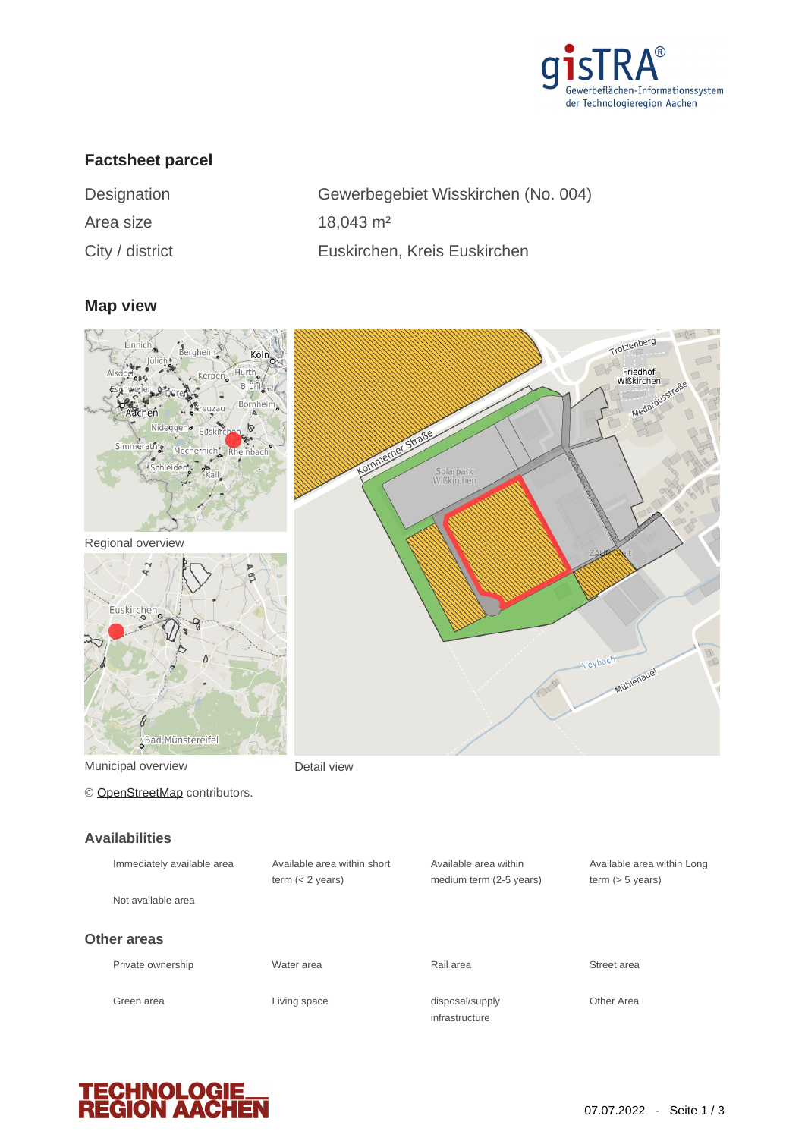

# **Factsheet parcel**

| Designation     | Gewerbegebiet Wisskirchen (No. 004) |
|-----------------|-------------------------------------|
| Area size       | $18,043 \text{ m}^2$                |
| City / district | Euskirchen, Kreis Euskirchen        |

#### **Map view**



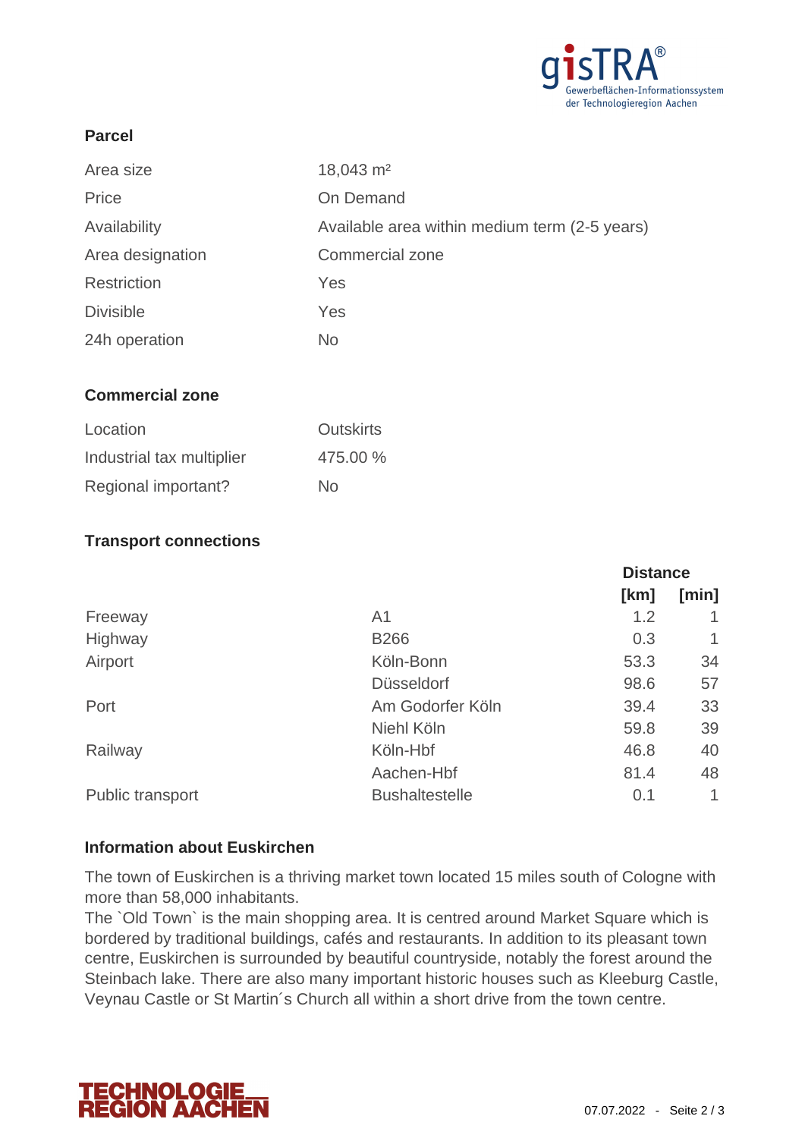

## **Parcel**

| Area size        | $18,043 \text{ m}^2$                          |
|------------------|-----------------------------------------------|
| Price            | On Demand                                     |
| Availability     | Available area within medium term (2-5 years) |
| Area designation | <b>Commercial zone</b>                        |
| Restriction      | Yes                                           |
| <b>Divisible</b> | Yes                                           |
| 24h operation    | <b>No</b>                                     |
|                  |                                               |

### **Commercial zone**

| Location                  | <b>Outskirts</b> |
|---------------------------|------------------|
| Industrial tax multiplier | 475.00 %         |
| Regional important?       | Nο               |

### **Transport connections**

|                         |                       | <b>Distance</b> |       |
|-------------------------|-----------------------|-----------------|-------|
|                         |                       | [km]            | [min] |
| Freeway                 | A <sub>1</sub>        | 1.2             |       |
| Highway                 | <b>B266</b>           | 0.3             | 1     |
| Airport                 | Köln-Bonn             | 53.3            | 34    |
|                         | <b>Düsseldorf</b>     | 98.6            | 57    |
| Port                    | Am Godorfer Köln      | 39.4            | 33    |
|                         | Niehl Köln            | 59.8            | 39    |
| Railway                 | Köln-Hbf              | 46.8            | 40    |
|                         | Aachen-Hbf            | 81.4            | 48    |
| <b>Public transport</b> | <b>Bushaltestelle</b> | 0.1             | 1     |
|                         |                       |                 |       |

### **Information about Euskirchen**

The town of Euskirchen is a thriving market town located 15 miles south of Cologne with more than 58,000 inhabitants.

The `Old Town` is the main shopping area. It is centred around Market Square which is bordered by traditional buildings, cafés and restaurants. In addition to its pleasant town centre, Euskirchen is surrounded by beautiful countryside, notably the forest around the Steinbach lake. There are also many important historic houses such as Kleeburg Castle, Veynau Castle or St Martin´s Church all within a short drive from the town centre.